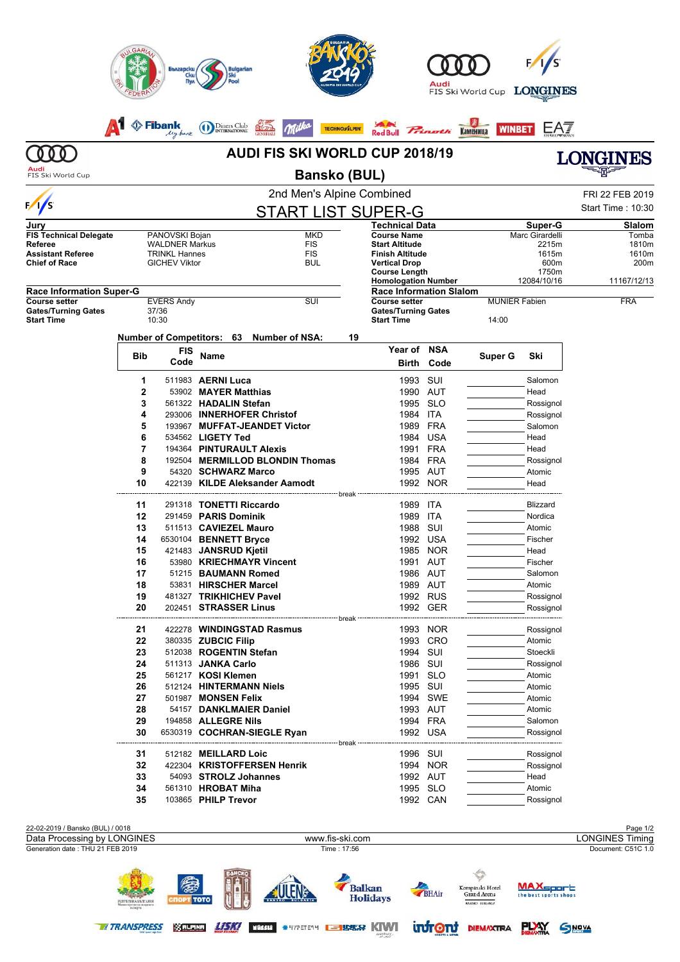| <b>AUDI FIS SKI WORLD CUP 2018/19</b><br>ONGINES<br>Audi<br><b>Bansko (BUL)</b><br>FIS Ski World Cup<br>2nd Men's Alpine Combined<br>FRI 22 FEB 2019<br>Start Time: 10:30<br><b>START LIST SUPER-G</b><br>Technical Data<br>Slalom<br>Super-G<br><b>MKD</b><br><b>Course Name</b><br>Marc Girardelli<br>PANOVSKI Bojan<br><b>WALDNER Markus</b><br><b>FIS</b><br><b>Start Altitude</b><br>2215m<br>1810m<br><b>FIS</b><br><b>TRINKL Hannes</b><br>Finish Altitude<br>1615m<br>1610m<br><b>GICHEV Viktor</b><br>BUL<br>600m<br>200m<br>Vertical Drop<br><b>Course Length</b><br>1750m<br><b>Homologation Number</b><br>12084/10/16<br>11167/12/13<br><b>Race Information Slalom</b><br><b>EVERS Andy</b><br>SUI<br><b>Course setter</b><br><b>MUNIER Fabien</b><br><b>FRA</b><br>37/36<br><b>Gates/Turning Gates</b><br>10:30<br><b>Start Time</b><br>14:00<br>Number of Competitors: 63 Number of NSA:<br>19<br>Year of NSA<br><b>FIS</b><br><b>Bib</b><br>Name<br>Super G<br>Ski<br>Code<br>Code<br>Birth<br>1<br>511983 AERNI Luca<br>1993<br>SUI<br>Salomon<br>2<br>53902 MAYER Matthias<br>1990 AUT<br>Head<br>3<br>561322 HADALIN Stefan<br>1995 SLO<br>Rossignol<br>1984 ITA<br>4<br>293006 INNERHOFER Christof<br>Rossignol<br>5<br>1989 FRA<br>193967 MUFFAT-JEANDET Victor<br>Salomon<br>6<br>534562 LIGETY Ted<br>1984<br>USA<br>Head<br>7<br>194364 PINTURAULT Alexis<br>1991 FRA<br>Head<br>8<br>192504 MERMILLOD BLONDIN Thomas<br>1984 FRA<br>Rossignol<br>9<br>54320 SCHWARZ Marco<br>1995 AUT<br>Atomic<br>NOR<br>10<br>422139 KILDE Aleksander Aamodt<br>1992<br>Head<br>break<br>11<br>291318 TONETTI Riccardo<br>1989<br>ITA<br><b>Blizzard</b><br>12<br>291459 PARIS Dominik<br>1989<br>ITA<br>Nordica<br>13<br>SUI<br>511513 CAVIEZEL Mauro<br>1988<br>Atomic<br>1992 USA<br>14<br>6530104 BENNETT Bryce<br>Fischer<br>421483 JANSRUD Kjetil<br>Head<br>15<br>1985 NOR<br>1991 AUT<br>16<br>53980 KRIECHMAYR Vincent<br>Fischer<br>17<br>1986 AUT<br>51215 BAUMANN Romed<br>Salomon<br>18<br>53831 HIRSCHER Marcel<br>1989 AUT<br>Atomic<br>19<br>481327 TRIKHICHEV Pavel<br>1992 RUS<br>Rossignol<br>20<br>1992 GER<br>202451 STRASSER Linus<br>Rossignol<br>422278 WINDINGSTAD Rasmus<br>1993 NOR<br>21<br>Rossignol<br>22<br>380335 ZUBCIC Filip<br>1993 CRO<br>Atomic<br>1994 SUI<br>23<br>512038 ROGENTIN Stefan<br>Stoeckli<br>24<br>511313 JANKA Carlo<br>1986 SUI<br>Rossignol<br>25<br>561217 KOSI Klemen<br>1991 SLO<br>Atomic<br>1995 SUI<br>26<br>512124 HINTERMANN Niels<br>Atomic<br>27<br>1994 SWE<br>501987 MONSEN Felix<br>Atomic<br>28<br>1993 AUT<br>54157 DANKLMAIER Daniel<br>Atomic<br>29<br>194858 ALLEGRE Nils<br>1994 FRA<br>Salomon<br>1992 USA<br>30<br>6530319 COCHRAN-SIEGLE Ryan<br>Rossignol<br><sup>-----</sup> break<br>1996 SUI<br>31<br>512182 MEILLARD Loic<br>Rossignol<br>32<br>422304 KRISTOFFERSEN Henrik<br>1994 NOR<br>Rossignol<br>33<br>54093 STROLZ Johannes<br>1992 AUT<br>Head<br>561310 HROBAT Miha<br>1995 SLO<br>Atomic<br>34<br>103865 PHILP Trevor<br>1992 CAN<br>35<br>Rossignol |                                                                 | <b>S</b> Fibank<br>My-bank | Diners Club<br><b>INTERNATIONAL</b> | <b>TECHNOSALPIN</b>            | <b>Red Bull</b> | <i>Finath</i> | FIS Ski World Cup<br><b>WINBET</b><br>Каменица | <b>LONGINES</b><br>EA7 |                                              |
|------------------------------------------------------------------------------------------------------------------------------------------------------------------------------------------------------------------------------------------------------------------------------------------------------------------------------------------------------------------------------------------------------------------------------------------------------------------------------------------------------------------------------------------------------------------------------------------------------------------------------------------------------------------------------------------------------------------------------------------------------------------------------------------------------------------------------------------------------------------------------------------------------------------------------------------------------------------------------------------------------------------------------------------------------------------------------------------------------------------------------------------------------------------------------------------------------------------------------------------------------------------------------------------------------------------------------------------------------------------------------------------------------------------------------------------------------------------------------------------------------------------------------------------------------------------------------------------------------------------------------------------------------------------------------------------------------------------------------------------------------------------------------------------------------------------------------------------------------------------------------------------------------------------------------------------------------------------------------------------------------------------------------------------------------------------------------------------------------------------------------------------------------------------------------------------------------------------------------------------------------------------------------------------------------------------------------------------------------------------------------------------------------------------------------------------------------------------------------------------------------------------------------------------------------------------------------------------------------------------------------------------------------------------------------------------------------------------------------------------------------------------------------------------------------------------------------------------------------------------------------------------------------------------------------------------------------------------------------------------------------------------------------------------------------------|-----------------------------------------------------------------|----------------------------|-------------------------------------|--------------------------------|-----------------|---------------|------------------------------------------------|------------------------|----------------------------------------------|
|                                                                                                                                                                                                                                                                                                                                                                                                                                                                                                                                                                                                                                                                                                                                                                                                                                                                                                                                                                                                                                                                                                                                                                                                                                                                                                                                                                                                                                                                                                                                                                                                                                                                                                                                                                                                                                                                                                                                                                                                                                                                                                                                                                                                                                                                                                                                                                                                                                                                                                                                                                                                                                                                                                                                                                                                                                                                                                                                                                                                                                                            |                                                                 |                            |                                     |                                |                 |               |                                                |                        |                                              |
|                                                                                                                                                                                                                                                                                                                                                                                                                                                                                                                                                                                                                                                                                                                                                                                                                                                                                                                                                                                                                                                                                                                                                                                                                                                                                                                                                                                                                                                                                                                                                                                                                                                                                                                                                                                                                                                                                                                                                                                                                                                                                                                                                                                                                                                                                                                                                                                                                                                                                                                                                                                                                                                                                                                                                                                                                                                                                                                                                                                                                                                            |                                                                 |                            |                                     |                                |                 |               |                                                |                        |                                              |
| Jury<br><b>FIS Technical Delegate</b><br>Referee<br><b>Assistant Referee</b><br><b>Chief of Race</b><br><b>Race Information Super-G</b><br><b>Gates/Turning Gates</b>                                                                                                                                                                                                                                                                                                                                                                                                                                                                                                                                                                                                                                                                                                                                                                                                                                                                                                                                                                                                                                                                                                                                                                                                                                                                                                                                                                                                                                                                                                                                                                                                                                                                                                                                                                                                                                                                                                                                                                                                                                                                                                                                                                                                                                                                                                                                                                                                                                                                                                                                                                                                                                                                                                                                                                                                                                                                                      | $\sqrt{2}$                                                      |                            |                                     |                                |                 |               |                                                |                        |                                              |
|                                                                                                                                                                                                                                                                                                                                                                                                                                                                                                                                                                                                                                                                                                                                                                                                                                                                                                                                                                                                                                                                                                                                                                                                                                                                                                                                                                                                                                                                                                                                                                                                                                                                                                                                                                                                                                                                                                                                                                                                                                                                                                                                                                                                                                                                                                                                                                                                                                                                                                                                                                                                                                                                                                                                                                                                                                                                                                                                                                                                                                                            |                                                                 |                            |                                     |                                |                 |               |                                                |                        |                                              |
|                                                                                                                                                                                                                                                                                                                                                                                                                                                                                                                                                                                                                                                                                                                                                                                                                                                                                                                                                                                                                                                                                                                                                                                                                                                                                                                                                                                                                                                                                                                                                                                                                                                                                                                                                                                                                                                                                                                                                                                                                                                                                                                                                                                                                                                                                                                                                                                                                                                                                                                                                                                                                                                                                                                                                                                                                                                                                                                                                                                                                                                            |                                                                 |                            |                                     |                                |                 |               |                                                |                        | Tomba                                        |
|                                                                                                                                                                                                                                                                                                                                                                                                                                                                                                                                                                                                                                                                                                                                                                                                                                                                                                                                                                                                                                                                                                                                                                                                                                                                                                                                                                                                                                                                                                                                                                                                                                                                                                                                                                                                                                                                                                                                                                                                                                                                                                                                                                                                                                                                                                                                                                                                                                                                                                                                                                                                                                                                                                                                                                                                                                                                                                                                                                                                                                                            |                                                                 |                            |                                     |                                |                 |               |                                                |                        |                                              |
|                                                                                                                                                                                                                                                                                                                                                                                                                                                                                                                                                                                                                                                                                                                                                                                                                                                                                                                                                                                                                                                                                                                                                                                                                                                                                                                                                                                                                                                                                                                                                                                                                                                                                                                                                                                                                                                                                                                                                                                                                                                                                                                                                                                                                                                                                                                                                                                                                                                                                                                                                                                                                                                                                                                                                                                                                                                                                                                                                                                                                                                            |                                                                 |                            |                                     |                                |                 |               |                                                |                        |                                              |
| <b>Course setter</b><br><b>Start Time</b>                                                                                                                                                                                                                                                                                                                                                                                                                                                                                                                                                                                                                                                                                                                                                                                                                                                                                                                                                                                                                                                                                                                                                                                                                                                                                                                                                                                                                                                                                                                                                                                                                                                                                                                                                                                                                                                                                                                                                                                                                                                                                                                                                                                                                                                                                                                                                                                                                                                                                                                                                                                                                                                                                                                                                                                                                                                                                                                                                                                                                  |                                                                 |                            |                                     |                                |                 |               |                                                |                        |                                              |
|                                                                                                                                                                                                                                                                                                                                                                                                                                                                                                                                                                                                                                                                                                                                                                                                                                                                                                                                                                                                                                                                                                                                                                                                                                                                                                                                                                                                                                                                                                                                                                                                                                                                                                                                                                                                                                                                                                                                                                                                                                                                                                                                                                                                                                                                                                                                                                                                                                                                                                                                                                                                                                                                                                                                                                                                                                                                                                                                                                                                                                                            |                                                                 |                            |                                     |                                |                 |               |                                                |                        |                                              |
|                                                                                                                                                                                                                                                                                                                                                                                                                                                                                                                                                                                                                                                                                                                                                                                                                                                                                                                                                                                                                                                                                                                                                                                                                                                                                                                                                                                                                                                                                                                                                                                                                                                                                                                                                                                                                                                                                                                                                                                                                                                                                                                                                                                                                                                                                                                                                                                                                                                                                                                                                                                                                                                                                                                                                                                                                                                                                                                                                                                                                                                            |                                                                 |                            |                                     |                                |                 |               |                                                |                        |                                              |
|                                                                                                                                                                                                                                                                                                                                                                                                                                                                                                                                                                                                                                                                                                                                                                                                                                                                                                                                                                                                                                                                                                                                                                                                                                                                                                                                                                                                                                                                                                                                                                                                                                                                                                                                                                                                                                                                                                                                                                                                                                                                                                                                                                                                                                                                                                                                                                                                                                                                                                                                                                                                                                                                                                                                                                                                                                                                                                                                                                                                                                                            |                                                                 |                            |                                     |                                |                 |               |                                                |                        |                                              |
|                                                                                                                                                                                                                                                                                                                                                                                                                                                                                                                                                                                                                                                                                                                                                                                                                                                                                                                                                                                                                                                                                                                                                                                                                                                                                                                                                                                                                                                                                                                                                                                                                                                                                                                                                                                                                                                                                                                                                                                                                                                                                                                                                                                                                                                                                                                                                                                                                                                                                                                                                                                                                                                                                                                                                                                                                                                                                                                                                                                                                                                            |                                                                 |                            |                                     |                                |                 |               |                                                |                        |                                              |
|                                                                                                                                                                                                                                                                                                                                                                                                                                                                                                                                                                                                                                                                                                                                                                                                                                                                                                                                                                                                                                                                                                                                                                                                                                                                                                                                                                                                                                                                                                                                                                                                                                                                                                                                                                                                                                                                                                                                                                                                                                                                                                                                                                                                                                                                                                                                                                                                                                                                                                                                                                                                                                                                                                                                                                                                                                                                                                                                                                                                                                                            |                                                                 |                            |                                     |                                |                 |               |                                                |                        |                                              |
|                                                                                                                                                                                                                                                                                                                                                                                                                                                                                                                                                                                                                                                                                                                                                                                                                                                                                                                                                                                                                                                                                                                                                                                                                                                                                                                                                                                                                                                                                                                                                                                                                                                                                                                                                                                                                                                                                                                                                                                                                                                                                                                                                                                                                                                                                                                                                                                                                                                                                                                                                                                                                                                                                                                                                                                                                                                                                                                                                                                                                                                            |                                                                 |                            |                                     |                                |                 |               |                                                |                        |                                              |
|                                                                                                                                                                                                                                                                                                                                                                                                                                                                                                                                                                                                                                                                                                                                                                                                                                                                                                                                                                                                                                                                                                                                                                                                                                                                                                                                                                                                                                                                                                                                                                                                                                                                                                                                                                                                                                                                                                                                                                                                                                                                                                                                                                                                                                                                                                                                                                                                                                                                                                                                                                                                                                                                                                                                                                                                                                                                                                                                                                                                                                                            |                                                                 |                            |                                     |                                |                 |               |                                                |                        |                                              |
|                                                                                                                                                                                                                                                                                                                                                                                                                                                                                                                                                                                                                                                                                                                                                                                                                                                                                                                                                                                                                                                                                                                                                                                                                                                                                                                                                                                                                                                                                                                                                                                                                                                                                                                                                                                                                                                                                                                                                                                                                                                                                                                                                                                                                                                                                                                                                                                                                                                                                                                                                                                                                                                                                                                                                                                                                                                                                                                                                                                                                                                            |                                                                 |                            |                                     |                                |                 |               |                                                |                        |                                              |
|                                                                                                                                                                                                                                                                                                                                                                                                                                                                                                                                                                                                                                                                                                                                                                                                                                                                                                                                                                                                                                                                                                                                                                                                                                                                                                                                                                                                                                                                                                                                                                                                                                                                                                                                                                                                                                                                                                                                                                                                                                                                                                                                                                                                                                                                                                                                                                                                                                                                                                                                                                                                                                                                                                                                                                                                                                                                                                                                                                                                                                                            |                                                                 |                            |                                     |                                |                 |               |                                                |                        |                                              |
|                                                                                                                                                                                                                                                                                                                                                                                                                                                                                                                                                                                                                                                                                                                                                                                                                                                                                                                                                                                                                                                                                                                                                                                                                                                                                                                                                                                                                                                                                                                                                                                                                                                                                                                                                                                                                                                                                                                                                                                                                                                                                                                                                                                                                                                                                                                                                                                                                                                                                                                                                                                                                                                                                                                                                                                                                                                                                                                                                                                                                                                            |                                                                 |                            |                                     |                                |                 |               |                                                |                        |                                              |
|                                                                                                                                                                                                                                                                                                                                                                                                                                                                                                                                                                                                                                                                                                                                                                                                                                                                                                                                                                                                                                                                                                                                                                                                                                                                                                                                                                                                                                                                                                                                                                                                                                                                                                                                                                                                                                                                                                                                                                                                                                                                                                                                                                                                                                                                                                                                                                                                                                                                                                                                                                                                                                                                                                                                                                                                                                                                                                                                                                                                                                                            |                                                                 |                            |                                     |                                |                 |               |                                                |                        |                                              |
|                                                                                                                                                                                                                                                                                                                                                                                                                                                                                                                                                                                                                                                                                                                                                                                                                                                                                                                                                                                                                                                                                                                                                                                                                                                                                                                                                                                                                                                                                                                                                                                                                                                                                                                                                                                                                                                                                                                                                                                                                                                                                                                                                                                                                                                                                                                                                                                                                                                                                                                                                                                                                                                                                                                                                                                                                                                                                                                                                                                                                                                            |                                                                 |                            |                                     |                                |                 |               |                                                |                        |                                              |
|                                                                                                                                                                                                                                                                                                                                                                                                                                                                                                                                                                                                                                                                                                                                                                                                                                                                                                                                                                                                                                                                                                                                                                                                                                                                                                                                                                                                                                                                                                                                                                                                                                                                                                                                                                                                                                                                                                                                                                                                                                                                                                                                                                                                                                                                                                                                                                                                                                                                                                                                                                                                                                                                                                                                                                                                                                                                                                                                                                                                                                                            |                                                                 |                            |                                     |                                |                 |               |                                                |                        |                                              |
|                                                                                                                                                                                                                                                                                                                                                                                                                                                                                                                                                                                                                                                                                                                                                                                                                                                                                                                                                                                                                                                                                                                                                                                                                                                                                                                                                                                                                                                                                                                                                                                                                                                                                                                                                                                                                                                                                                                                                                                                                                                                                                                                                                                                                                                                                                                                                                                                                                                                                                                                                                                                                                                                                                                                                                                                                                                                                                                                                                                                                                                            |                                                                 |                            |                                     |                                |                 |               |                                                |                        |                                              |
|                                                                                                                                                                                                                                                                                                                                                                                                                                                                                                                                                                                                                                                                                                                                                                                                                                                                                                                                                                                                                                                                                                                                                                                                                                                                                                                                                                                                                                                                                                                                                                                                                                                                                                                                                                                                                                                                                                                                                                                                                                                                                                                                                                                                                                                                                                                                                                                                                                                                                                                                                                                                                                                                                                                                                                                                                                                                                                                                                                                                                                                            |                                                                 |                            |                                     |                                |                 |               |                                                |                        |                                              |
|                                                                                                                                                                                                                                                                                                                                                                                                                                                                                                                                                                                                                                                                                                                                                                                                                                                                                                                                                                                                                                                                                                                                                                                                                                                                                                                                                                                                                                                                                                                                                                                                                                                                                                                                                                                                                                                                                                                                                                                                                                                                                                                                                                                                                                                                                                                                                                                                                                                                                                                                                                                                                                                                                                                                                                                                                                                                                                                                                                                                                                                            |                                                                 |                            |                                     |                                |                 |               |                                                |                        |                                              |
|                                                                                                                                                                                                                                                                                                                                                                                                                                                                                                                                                                                                                                                                                                                                                                                                                                                                                                                                                                                                                                                                                                                                                                                                                                                                                                                                                                                                                                                                                                                                                                                                                                                                                                                                                                                                                                                                                                                                                                                                                                                                                                                                                                                                                                                                                                                                                                                                                                                                                                                                                                                                                                                                                                                                                                                                                                                                                                                                                                                                                                                            |                                                                 |                            |                                     |                                |                 |               |                                                |                        |                                              |
|                                                                                                                                                                                                                                                                                                                                                                                                                                                                                                                                                                                                                                                                                                                                                                                                                                                                                                                                                                                                                                                                                                                                                                                                                                                                                                                                                                                                                                                                                                                                                                                                                                                                                                                                                                                                                                                                                                                                                                                                                                                                                                                                                                                                                                                                                                                                                                                                                                                                                                                                                                                                                                                                                                                                                                                                                                                                                                                                                                                                                                                            |                                                                 |                            |                                     |                                |                 |               |                                                |                        |                                              |
|                                                                                                                                                                                                                                                                                                                                                                                                                                                                                                                                                                                                                                                                                                                                                                                                                                                                                                                                                                                                                                                                                                                                                                                                                                                                                                                                                                                                                                                                                                                                                                                                                                                                                                                                                                                                                                                                                                                                                                                                                                                                                                                                                                                                                                                                                                                                                                                                                                                                                                                                                                                                                                                                                                                                                                                                                                                                                                                                                                                                                                                            |                                                                 |                            |                                     |                                |                 |               |                                                |                        |                                              |
|                                                                                                                                                                                                                                                                                                                                                                                                                                                                                                                                                                                                                                                                                                                                                                                                                                                                                                                                                                                                                                                                                                                                                                                                                                                                                                                                                                                                                                                                                                                                                                                                                                                                                                                                                                                                                                                                                                                                                                                                                                                                                                                                                                                                                                                                                                                                                                                                                                                                                                                                                                                                                                                                                                                                                                                                                                                                                                                                                                                                                                                            |                                                                 |                            |                                     |                                |                 |               |                                                |                        |                                              |
|                                                                                                                                                                                                                                                                                                                                                                                                                                                                                                                                                                                                                                                                                                                                                                                                                                                                                                                                                                                                                                                                                                                                                                                                                                                                                                                                                                                                                                                                                                                                                                                                                                                                                                                                                                                                                                                                                                                                                                                                                                                                                                                                                                                                                                                                                                                                                                                                                                                                                                                                                                                                                                                                                                                                                                                                                                                                                                                                                                                                                                                            |                                                                 |                            |                                     |                                |                 |               |                                                |                        |                                              |
|                                                                                                                                                                                                                                                                                                                                                                                                                                                                                                                                                                                                                                                                                                                                                                                                                                                                                                                                                                                                                                                                                                                                                                                                                                                                                                                                                                                                                                                                                                                                                                                                                                                                                                                                                                                                                                                                                                                                                                                                                                                                                                                                                                                                                                                                                                                                                                                                                                                                                                                                                                                                                                                                                                                                                                                                                                                                                                                                                                                                                                                            |                                                                 |                            |                                     |                                |                 |               |                                                |                        |                                              |
|                                                                                                                                                                                                                                                                                                                                                                                                                                                                                                                                                                                                                                                                                                                                                                                                                                                                                                                                                                                                                                                                                                                                                                                                                                                                                                                                                                                                                                                                                                                                                                                                                                                                                                                                                                                                                                                                                                                                                                                                                                                                                                                                                                                                                                                                                                                                                                                                                                                                                                                                                                                                                                                                                                                                                                                                                                                                                                                                                                                                                                                            |                                                                 |                            |                                     |                                |                 |               |                                                |                        |                                              |
|                                                                                                                                                                                                                                                                                                                                                                                                                                                                                                                                                                                                                                                                                                                                                                                                                                                                                                                                                                                                                                                                                                                                                                                                                                                                                                                                                                                                                                                                                                                                                                                                                                                                                                                                                                                                                                                                                                                                                                                                                                                                                                                                                                                                                                                                                                                                                                                                                                                                                                                                                                                                                                                                                                                                                                                                                                                                                                                                                                                                                                                            |                                                                 |                            |                                     |                                |                 |               |                                                |                        |                                              |
|                                                                                                                                                                                                                                                                                                                                                                                                                                                                                                                                                                                                                                                                                                                                                                                                                                                                                                                                                                                                                                                                                                                                                                                                                                                                                                                                                                                                                                                                                                                                                                                                                                                                                                                                                                                                                                                                                                                                                                                                                                                                                                                                                                                                                                                                                                                                                                                                                                                                                                                                                                                                                                                                                                                                                                                                                                                                                                                                                                                                                                                            |                                                                 |                            |                                     |                                |                 |               |                                                |                        |                                              |
|                                                                                                                                                                                                                                                                                                                                                                                                                                                                                                                                                                                                                                                                                                                                                                                                                                                                                                                                                                                                                                                                                                                                                                                                                                                                                                                                                                                                                                                                                                                                                                                                                                                                                                                                                                                                                                                                                                                                                                                                                                                                                                                                                                                                                                                                                                                                                                                                                                                                                                                                                                                                                                                                                                                                                                                                                                                                                                                                                                                                                                                            |                                                                 |                            |                                     |                                |                 |               |                                                |                        |                                              |
|                                                                                                                                                                                                                                                                                                                                                                                                                                                                                                                                                                                                                                                                                                                                                                                                                                                                                                                                                                                                                                                                                                                                                                                                                                                                                                                                                                                                                                                                                                                                                                                                                                                                                                                                                                                                                                                                                                                                                                                                                                                                                                                                                                                                                                                                                                                                                                                                                                                                                                                                                                                                                                                                                                                                                                                                                                                                                                                                                                                                                                                            |                                                                 |                            |                                     |                                |                 |               |                                                |                        |                                              |
|                                                                                                                                                                                                                                                                                                                                                                                                                                                                                                                                                                                                                                                                                                                                                                                                                                                                                                                                                                                                                                                                                                                                                                                                                                                                                                                                                                                                                                                                                                                                                                                                                                                                                                                                                                                                                                                                                                                                                                                                                                                                                                                                                                                                                                                                                                                                                                                                                                                                                                                                                                                                                                                                                                                                                                                                                                                                                                                                                                                                                                                            |                                                                 |                            |                                     |                                |                 |               |                                                |                        |                                              |
|                                                                                                                                                                                                                                                                                                                                                                                                                                                                                                                                                                                                                                                                                                                                                                                                                                                                                                                                                                                                                                                                                                                                                                                                                                                                                                                                                                                                                                                                                                                                                                                                                                                                                                                                                                                                                                                                                                                                                                                                                                                                                                                                                                                                                                                                                                                                                                                                                                                                                                                                                                                                                                                                                                                                                                                                                                                                                                                                                                                                                                                            |                                                                 |                            |                                     |                                |                 |               |                                                |                        |                                              |
|                                                                                                                                                                                                                                                                                                                                                                                                                                                                                                                                                                                                                                                                                                                                                                                                                                                                                                                                                                                                                                                                                                                                                                                                                                                                                                                                                                                                                                                                                                                                                                                                                                                                                                                                                                                                                                                                                                                                                                                                                                                                                                                                                                                                                                                                                                                                                                                                                                                                                                                                                                                                                                                                                                                                                                                                                                                                                                                                                                                                                                                            |                                                                 |                            |                                     |                                |                 |               |                                                |                        |                                              |
|                                                                                                                                                                                                                                                                                                                                                                                                                                                                                                                                                                                                                                                                                                                                                                                                                                                                                                                                                                                                                                                                                                                                                                                                                                                                                                                                                                                                                                                                                                                                                                                                                                                                                                                                                                                                                                                                                                                                                                                                                                                                                                                                                                                                                                                                                                                                                                                                                                                                                                                                                                                                                                                                                                                                                                                                                                                                                                                                                                                                                                                            |                                                                 |                            |                                     |                                |                 |               |                                                |                        |                                              |
|                                                                                                                                                                                                                                                                                                                                                                                                                                                                                                                                                                                                                                                                                                                                                                                                                                                                                                                                                                                                                                                                                                                                                                                                                                                                                                                                                                                                                                                                                                                                                                                                                                                                                                                                                                                                                                                                                                                                                                                                                                                                                                                                                                                                                                                                                                                                                                                                                                                                                                                                                                                                                                                                                                                                                                                                                                                                                                                                                                                                                                                            |                                                                 |                            |                                     |                                |                 |               |                                                |                        |                                              |
|                                                                                                                                                                                                                                                                                                                                                                                                                                                                                                                                                                                                                                                                                                                                                                                                                                                                                                                                                                                                                                                                                                                                                                                                                                                                                                                                                                                                                                                                                                                                                                                                                                                                                                                                                                                                                                                                                                                                                                                                                                                                                                                                                                                                                                                                                                                                                                                                                                                                                                                                                                                                                                                                                                                                                                                                                                                                                                                                                                                                                                                            |                                                                 |                            |                                     |                                |                 |               |                                                |                        | Page 1/2                                     |
| 22-02-2019 / Bansko (BUL) / 0018                                                                                                                                                                                                                                                                                                                                                                                                                                                                                                                                                                                                                                                                                                                                                                                                                                                                                                                                                                                                                                                                                                                                                                                                                                                                                                                                                                                                                                                                                                                                                                                                                                                                                                                                                                                                                                                                                                                                                                                                                                                                                                                                                                                                                                                                                                                                                                                                                                                                                                                                                                                                                                                                                                                                                                                                                                                                                                                                                                                                                           | Data Processing by LONGINES<br>Generation date: THU 21 FEB 2019 |                            |                                     | www.fis-ski.com<br>Time: 17:56 |                 |               |                                                |                        | <b>LONGINES Timing</b><br>Document: C51C 1.0 |

JUEN Balkan<br>Holidays

2

**CI** 

 $\frac{1}{1000}$ 

**THE TRANSPRESS RECEIVED LISK TORON OF THE REAL RESIDER KIWI** 





**infront** DIEMAXTRA PLAY SNOW